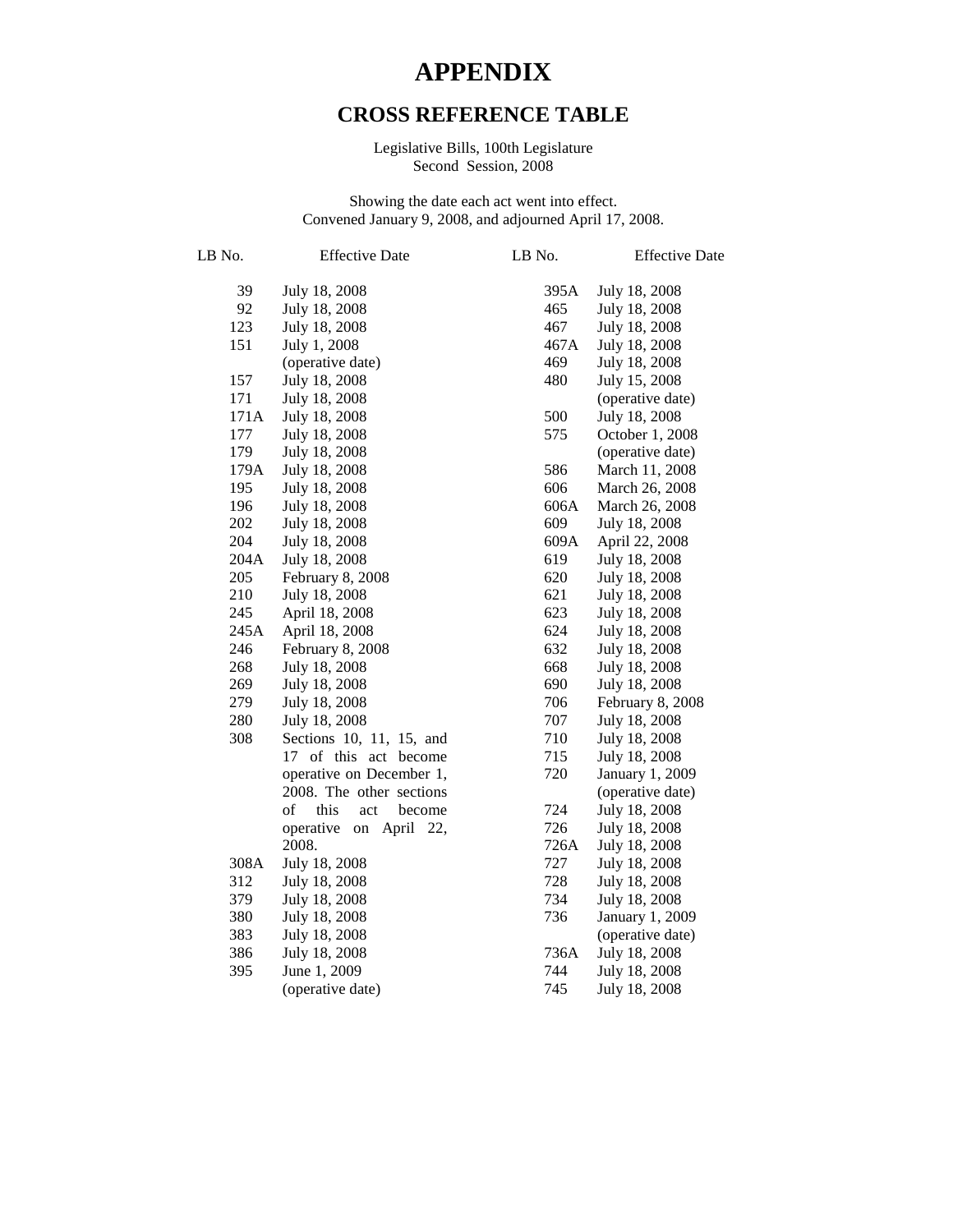## **APPENDIX**

## **CROSS REFERENCE TABLE**

Legislative Bills, 100th Legislature Second Session, 2008

Showing the date each act went into effect. Convened January 9, 2008, and adjourned April 17, 2008.

| LB No. | <b>Effective Date</b>           | LB No. | <b>Effective Date</b> |
|--------|---------------------------------|--------|-----------------------|
| 39     | July 18, 2008                   | 395A   | July 18, 2008         |
| 92     | July 18, 2008                   | 465    | July 18, 2008         |
| 123    | July 18, 2008                   | 467    | July 18, 2008         |
| 151    | July 1, 2008                    | 467A   | July 18, 2008         |
|        | (operative date)                | 469    | July 18, 2008         |
| 157    | July 18, 2008                   | 480    | July 15, 2008         |
| 171    | July 18, 2008                   |        | (operative date)      |
| 171A   | July 18, 2008                   | 500    | July 18, 2008         |
| 177    | July 18, 2008                   | 575    | October 1, 2008       |
| 179    | July 18, 2008                   |        | (operative date)      |
| 179A   | July 18, 2008                   | 586    | March 11, 2008        |
| 195    | July 18, 2008                   | 606    | March 26, 2008        |
| 196    | July 18, 2008                   | 606A   | March 26, 2008        |
| 202    | July 18, 2008                   | 609    | July 18, 2008         |
| 204    | July 18, 2008                   | 609A   | April 22, 2008        |
| 204A   | July 18, 2008                   | 619    | July 18, 2008         |
| 205    | February 8, 2008                | 620    | July 18, 2008         |
| 210    | July 18, 2008                   | 621    | July 18, 2008         |
| 245    | April 18, 2008                  | 623    | July 18, 2008         |
| 245A   | April 18, 2008                  | 624    | July 18, 2008         |
| 246    | February 8, 2008                | 632    | July 18, 2008         |
| 268    | July 18, 2008                   | 668    | July 18, 2008         |
| 269    | July 18, 2008                   | 690    | July 18, 2008         |
| 279    | July 18, 2008                   | 706    | February 8, 2008      |
| 280    | July 18, 2008                   | 707    | July 18, 2008         |
| 308    | Sections 10, 11, 15, and        | 710    | July 18, 2008         |
|        | 17 of this act become           | 715    | July 18, 2008         |
|        | operative on December 1,        | 720    | January 1, 2009       |
|        | 2008. The other sections        |        | (operative date)      |
|        | of<br>this<br>act<br>become     | 724    | July 18, 2008         |
|        | April<br>operative<br>22,<br>on | 726    | July 18, 2008         |
|        | 2008.                           | 726A   | July 18, 2008         |
| 308A   | July 18, 2008                   | 727    | July 18, 2008         |
| 312    | July 18, 2008                   | 728    | July 18, 2008         |
| 379    | July 18, 2008                   | 734    | July 18, 2008         |
| 380    | July 18, 2008                   | 736    | January 1, 2009       |
| 383    | July 18, 2008                   |        | (operative date)      |
| 386    | July 18, 2008                   | 736A   | July 18, 2008         |
| 395    | June 1, 2009                    | 744    | July 18, 2008         |
|        | (operative date)                | 745    | July 18, 2008         |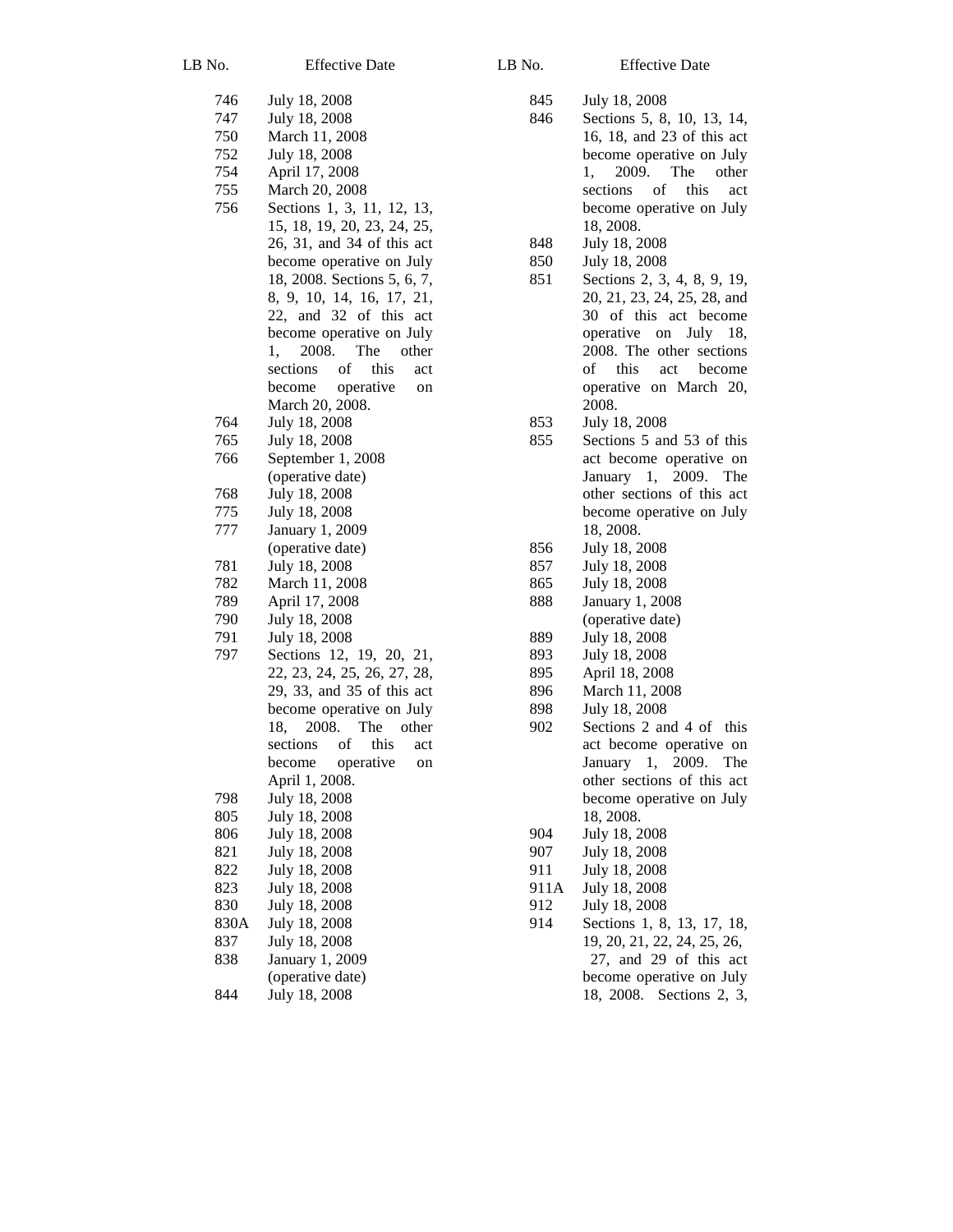| LB No.     | <b>Effective Date</b>                    | L |
|------------|------------------------------------------|---|
| 746        | July 18, 2008                            |   |
| 747        | July 18, 2008                            |   |
| 750        | March 11, 2008                           |   |
| 752        | July 18, 2008                            |   |
| 754        | April 17, 2008                           |   |
| 755        | March 20, 2008                           |   |
| 756        | Sections 1, 3, 11, 12, 13,               |   |
|            | 15, 18, 19, 20, 23, 24, 25,              |   |
|            | 26, 31, and 34 of this act               |   |
|            | become operative on July                 |   |
|            | 18, 2008. Sections 5, 6, 7,              |   |
|            | 8, 9, 10, 14, 16, 17, 21,                |   |
|            | 22, and 32 of this act                   |   |
|            | become operative on July                 |   |
|            | The<br>2008.<br>1.<br>other              |   |
|            | sections<br>of<br>this<br>act            |   |
|            | operative<br>become<br>on                |   |
|            | March 20, 2008.                          |   |
| 764        | July 18, 2008                            |   |
| 765        | July 18, 2008                            |   |
| 766        | September 1, 2008                        |   |
|            | (operative date)                         |   |
| 768        | July 18, 2008                            |   |
| 775        | July 18, 2008                            |   |
| 777        | January 1, 2009                          |   |
|            | (operative date)                         |   |
| 781        | July 18, 2008                            |   |
| 782        | March 11, 2008                           |   |
| 789        | April 17, 2008                           |   |
| 790<br>791 | July 18, 2008<br>July 18, 2008           |   |
| 797        | Sections 12, 19, 20, 21,                 |   |
|            | 22, 23, 24, 25, 26, 27, 28,              |   |
|            | 29, 33, and 35 of this act               |   |
|            | become operative on July                 |   |
|            | 2008.<br>18.<br>The<br>other             |   |
|            | sections<br><sub>of</sub><br>this<br>act |   |
|            | operative<br>become<br>on                |   |
|            | April 1, 2008.                           |   |
| 798        | July 18, 2008                            |   |
| 805        | July 18, 2008                            |   |
| 806        | July 18, 2008                            |   |
| 821        | July 18, 2008                            |   |
| 822        | July 18, 2008                            |   |
| 823        | July 18, 2008                            |   |
| 830        | July 18, 2008                            |   |
| 830A       | July 18, 2008                            |   |
| 837        | July 18, 2008                            |   |
| 838        | January 1, 2009                          |   |
|            | (operative date)                         |   |
| 844        | July 18, 2008                            |   |

846 Sections 5, 8, 10, 13, 14, 16, 18, and 23 of this act become operative on July 1, 2009. The other sections of this act become operative on July 18, 2008.

**Effective Date** 

- 848 July 18, 2008
- 850 July 18, 2008
- 851 Sections 2, 3, 4, 8, 9, 19, 20, 21, 23, 24, 25, 28, and 30 of this act become operative on July 18, 2008. The other sections of this act become operative on March 20, 2008.
- 853 July 18, 2008
- 855 Sections 5 and 53 of this act become operative on January 1, 2009. The other sections of this act become operative on July 18, 2008.
- 856 July 18, 2008
- 857 July 18, 2008
- 865 July 18, 2008
- 888 January 1, 2008 (operative date)
- 889 July 18, 2008
- 893 July 18, 2008
- 895 April 18, 2008
- 896 March 11, 2008
- 898 July 18, 2008
- 902 Sections 2 and 4 of this act become operative on January 1, 2009. The other sections of this act become operative on July 18, 2008.
- 904 July 18, 2008
- 907 July 18, 2008
- 911 July 18, 2008
- 911A July 18, 2008
- 912 July 18, 2008
- 914 Sections 1, 8, 13, 17, 18, 19, 20, 21, 22, 24, 25, 26, 27, and 29 of this act become operative on July 18, 2008. Sections 2, 3,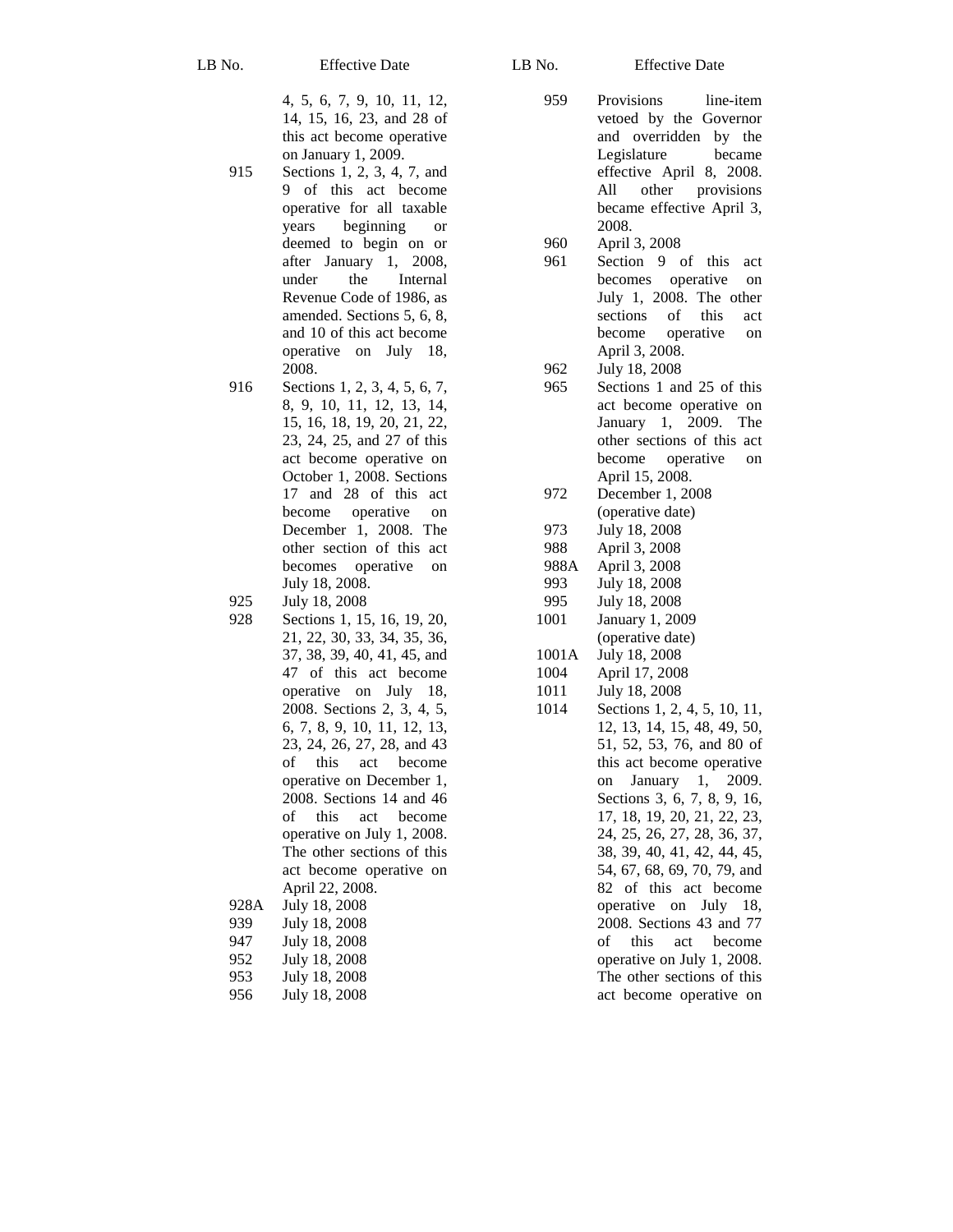4, 5, 6, 7, 9, 10, 11, 12, 14, 15, 16, 23, and 28 of this act become operative on January 1, 2009.

- 915 Sections 1, 2, 3, 4, 7, and 9 of this act become operative for all taxable years beginning or deemed to begin on or after January 1, 2008, under the Internal Revenue Code of 1986, as amended. Sections 5, 6, 8, and 10 of this act become operative on July 18, 2008.
- 916 Sections 1, 2, 3, 4, 5, 6, 7, 8, 9, 10, 11, 12, 13, 14, 15, 16, 18, 19, 20, 21, 22, 23, 24, 25, and 27 of this act become operative on October 1, 2008. Sections 17 and 28 of this act become operative on December 1, 2008. The other section of this act becomes operative on July 18, 2008.
- 925 July 18, 2008
- 928 Sections 1, 15, 16, 19, 20, 21, 22, 30, 33, 34, 35, 36, 37, 38, 39, 40, 41, 45, and 47 of this act become operative on July 18, 2008. Sections 2, 3, 4, 5, 6, 7, 8, 9, 10, 11, 12, 13, 23, 24, 26, 27, 28, and 43 of this act become operative on December 1, 2008. Sections 14 and 46 of this act become operative on July 1, 2008. The other sections of this act become operative on April 22, 2008.

| 928A | - - - - - - - - - - - - -<br>July 18, 2008 |
|------|--------------------------------------------|
| 939  | July 18, 2008                              |
| 947  | July 18, 2008                              |
|      |                                            |

- 952 July 18, 2008
- 953 July 18, 2008
- 956 July 18, 2008
- LB No. Effective Date
	- 959 Provisions line-item vetoed by the Governor and overridden by the Legislature became effective April 8, 2008. All other provisions became effective April 3, 2008.

960 April 3, 2008

961 Section 9 of this act becomes operative on July 1, 2008. The other sections of this act become operative on April 3, 2008.

962 July 18, 2008

- 965 Sections 1 and 25 of this act become operative on January 1, 2009. The other sections of this act become operative on April 15, 2008.
- 972 December 1, 2008 (operative date)
- 973 July 18, 2008
- 988 April 3, 2008
- 988A April 3, 2008
- 993 July 18, 2008
- 995 July 18, 2008 1001 January 1, 2009 (operative date)
- 1001A July 18, 2008
- 1004 April 17, 2008
- 1011 July 18, 2008
- 1014 Sections 1, 2, 4, 5, 10, 11, 12, 13, 14, 15, 48, 49, 50, 51, 52, 53, 76, and 80 of this act become operative on January 1, 2009. Sections 3, 6, 7, 8, 9, 16, 17, 18, 19, 20, 21, 22, 23, 24, 25, 26, 27, 28, 36, 37, 38, 39, 40, 41, 42, 44, 45, 54, 67, 68, 69, 70, 79, and 82 of this act become operative on July 18, 2008. Sections 43 and 77 of this act become operative on July 1, 2008. The other sections of this act become operative on